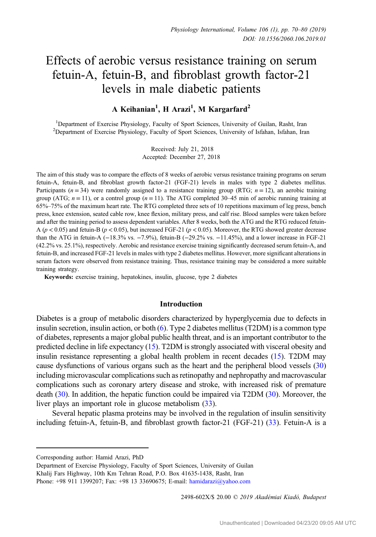# Effects of aerobic versus resistance training on serum fetuin-A, fetuin-B, and fibroblast growth factor-21 levels in male diabetic patients

# A Keihanian<sup>1</sup>, H Arazi<sup>1</sup>, M Kargarfard<sup>2</sup>

<sup>1</sup>Department of Exercise Physiology, Faculty of Sport Sciences, University of Guilan, Rasht, Iran <sup>2</sup>Department of Exercise Physiology, Faculty of Sport Sciences, University of Isfahan, Isfahan, Iran

> Received: July 21, 2018 Accepted: December 27, 2018

The aim of this study was to compare the effects of 8 weeks of aerobic versus resistance training programs on serum fetuin-A, fetuin-B, and fibroblast growth factor-21 (FGF-21) levels in males with type 2 diabetes mellitus. Participants ( $n = 34$ ) were randomly assigned to a resistance training group (RTG;  $n = 12$ ), an aerobic training group (ATG;  $n = 11$ ), or a control group ( $n = 11$ ). The ATG completed 30–45 min of aerobic running training at 65%–75% of the maximum heart rate. The RTG completed three sets of 10 repetitions maximum of leg press, bench press, knee extension, seated cable row, knee flexion, military press, and calf rise. Blood samples were taken before and after the training period to assess dependent variables. After 8 weeks, both the ATG and the RTG reduced fetuin-A ( $p < 0.05$ ) and fetuin-B ( $p < 0.05$ ), but increased FGF-21 ( $p < 0.05$ ). Moreover, the RTG showed greater decrease than the ATG in fetuin-A (−18.3% vs. −7.9%), fetuin-B (−29.2% vs. −11.45%), and a lower increase in FGF-21 (42.2% vs. 25.1%), respectively. Aerobic and resistance exercise training significantly decreased serum fetuin-A, and fetuin-B, and increased FGF-21 levels in males with type 2 diabetes mellitus. However, more significant alterations in serum factors were observed from resistance training. Thus, resistance training may be considered a more suitable training strategy.

Keywords: exercise training, hepatokines, insulin, glucose, type 2 diabetes

## Introduction

Diabetes is a group of metabolic disorders characterized by hyperglycemia due to defects in insulin secretion, insulin action, or both [\(6](#page-9-0)). Type 2 diabetes mellitus (T2DM) is a common type of diabetes, represents a major global public health threat, and is an important contributor to the predicted decline in life expectancy [\(15](#page-9-0)). T2DM is strongly associated with visceral obesity and insulin resistance representing a global health problem in recent decades [\(15](#page-9-0)). T2DM may cause dysfunctions of various organs such as the heart and the peripheral blood vessels [\(30\)](#page-10-0) including microvascular complications such as retinopathy and nephropathy and macrovascular complications such as coronary artery disease and stroke, with increased risk of premature death ([30\)](#page-10-0). In addition, the hepatic function could be impaired via T2DM ([30](#page-10-0)). Moreover, the liver plays an important role in glucose metabolism [\(33\)](#page-10-0).

Several hepatic plasma proteins may be involved in the regulation of insulin sensitivity including fetuin-A, fetuin-B, and fibroblast growth factor-21 (FGF-21) [\(33](#page-10-0)). Fetuin-A is a

2498-602X/\$ 20.00 © 2019 Akadémiai Kiadó, Budapest

Corresponding author: Hamid Arazi, PhD

Department of Exercise Physiology, Faculty of Sport Sciences, University of Guilan Khalij Fars Highway, 10th Km Tehran Road, P.O. Box 41635-1438, Rasht, Iran

Phone: +98 911 1399207; Fax: +98 13 33690675; E-mail: [hamidarazi@yahoo.com](mailto:hamidarazi@yahoo.com)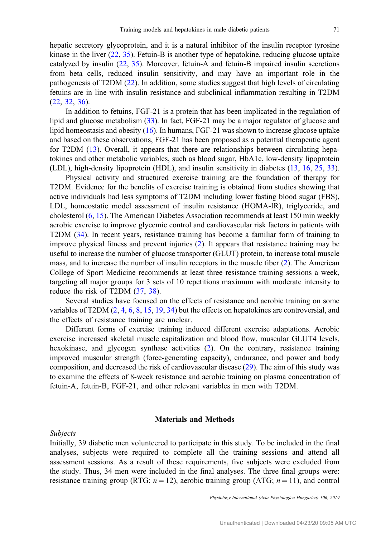hepatic secretory glycoprotein, and it is a natural inhibitor of the insulin receptor tyrosine kinase in the liver  $(22, 35)$  $(22, 35)$  $(22, 35)$  $(22, 35)$ . Fetuin-B is another type of hepatokine, reducing glucose uptake catalyzed by insulin ([22,](#page-10-0) [35\)](#page-10-0). Moreover, fetuin-A and fetuin-B impaired insulin secretions from beta cells, reduced insulin sensitivity, and may have an important role in the pathogenesis of T2DM ([22\)](#page-10-0). In addition, some studies suggest that high levels of circulating fetuins are in line with insulin resistance and subclinical inflammation resulting in T2DM [\(22](#page-10-0), [32](#page-10-0), [36](#page-10-0)).

In addition to fetuins, FGF-21 is a protein that has been implicated in the regulation of lipid and glucose metabolism ([33\)](#page-10-0). In fact, FGF-21 may be a major regulator of glucose and lipid homeostasis and obesity [\(16](#page-9-0)). In humans, FGF-21 was shown to increase glucose uptake and based on these observations, FGF-21 has been proposed as a potential therapeutic agent for T2DM ([13\)](#page-9-0). Overall, it appears that there are relationships between circulating hepatokines and other metabolic variables, such as blood sugar, HbA1c, low-density lipoprotein (LDL), high-density lipoprotein (HDL), and insulin sensitivity in diabetes [\(13](#page-9-0), [16,](#page-9-0) [25,](#page-10-0) [33](#page-10-0)).

Physical activity and structured exercise training are the foundation of therapy for T2DM. Evidence for the benefits of exercise training is obtained from studies showing that active individuals had less symptoms of T2DM including lower fasting blood sugar (FBS), LDL, homeostatic model assessment of insulin resistance (HOMA-IR), triglyceride, and cholesterol ([6,](#page-9-0) [15\)](#page-9-0). The American Diabetes Association recommends at least 150 min weekly aerobic exercise to improve glycemic control and cardiovascular risk factors in patients with T2DM ([34\)](#page-10-0). In recent years, resistance training has become a familiar form of training to improve physical fitness and prevent injuries [\(2](#page-9-0)). It appears that resistance training may be useful to increase the number of glucose transporter (GLUT) protein, to increase total muscle mass, and to increase the number of insulin receptors in the muscle fiber [\(2](#page-9-0)). The American College of Sport Medicine recommends at least three resistance training sessions a week, targeting all major groups for 3 sets of 10 repetitions maximum with moderate intensity to reduce the risk of T2DM [\(37](#page-10-0), [38](#page-10-0)).

Several studies have focused on the effects of resistance and aerobic training on some variables of T2DM [\(2,](#page-9-0) [4](#page-9-0), [6,](#page-9-0) [8](#page-9-0), [15,](#page-9-0) [19,](#page-9-0) [34](#page-10-0)) but the effects on hepatokines are controversial, and the effects of resistance training are unclear.

Different forms of exercise training induced different exercise adaptations. Aerobic exercise increased skeletal muscle capitalization and blood flow, muscular GLUT4 levels, hexokinase, and glycogen synthase activities ([2\)](#page-9-0). On the contrary, resistance training improved muscular strength (force-generating capacity), endurance, and power and body composition, and decreased the risk of cardiovascular disease ([29\)](#page-10-0). The aim of this study was to examine the effects of 8-week resistance and aerobic training on plasma concentration of fetuin-A, fetuin-B, FGF-21, and other relevant variables in men with T2DM.

#### Materials and Methods

Subjects

Initially, 39 diabetic men volunteered to participate in this study. To be included in the final analyses, subjects were required to complete all the training sessions and attend all assessment sessions. As a result of these requirements, five subjects were excluded from the study. Thus, 34 men were included in the final analyses. The three final groups were: resistance training group (RTG;  $n = 12$ ), aerobic training group (ATG;  $n = 11$ ), and control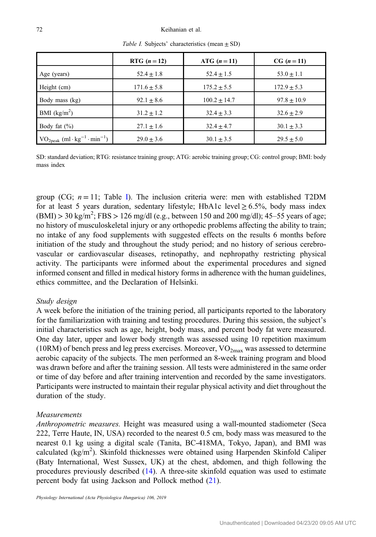|                                                        | RTG $(n = 12)$  | ATG $(n = 11)$ | $CG (n = 11)$   |
|--------------------------------------------------------|-----------------|----------------|-----------------|
| Age (years)                                            | $52.4 \pm 1.8$  | $52.4 \pm 1.5$ | $53.0 \pm 1.1$  |
| Height (cm)                                            | $171.6 \pm 5.8$ | $175.2 + 5.5$  | $172.9 \pm 5.3$ |
| Body mass (kg)                                         | $92.1 \pm 8.6$  | $100.2 + 14.7$ | $97.8 \pm 10.9$ |
| BMI $(kg/m2)$                                          | $31.2 \pm 1.2$  | $32.4 \pm 3.3$ | $32.6 \pm 2.9$  |
| Body fat $(\% )$                                       | $27.1 \pm 1.6$  | $32.4 + 4.7$   | $30.1 \pm 3.3$  |
| $VO2peak$ (ml · kg <sup>-1</sup> · min <sup>-1</sup> ) | $29.0 + 3.6$    | $30.1 + 3.5$   | $29.5 + 5.0$    |

Table I. Subjects' characteristics (mean  $\pm$  SD)

SD: standard deviation; RTG: resistance training group; ATG: aerobic training group; CG: control group; BMI: body mass index

group (CG;  $n = 11$ ; Table I). The inclusion criteria were: men with established T2DM for at least 5 years duration, sedentary lifestyle; HbA1c level  $> 6.5\%$ , body mass index  $(BMI) > 30 \text{ kg/m}^2$ ; FBS  $> 126 \text{ mg/dl}$  (e.g., between 150 and 200 mg/dl); 45–55 years of age; no history of musculoskeletal injury or any orthopedic problems affecting the ability to train; no intake of any food supplements with suggested effects on the results 6 months before initiation of the study and throughout the study period; and no history of serious cerebrovascular or cardiovascular diseases, retinopathy, and nephropathy restricting physical activity. The participants were informed about the experimental procedures and signed informed consent and filled in medical history forms in adherence with the human guidelines, ethics committee, and the Declaration of Helsinki.

#### Study design

A week before the initiation of the training period, all participants reported to the laboratory for the familiarization with training and testing procedures. During this session, the subject's initial characteristics such as age, height, body mass, and percent body fat were measured. One day later, upper and lower body strength was assessed using 10 repetition maximum (10RM) of bench press and leg press exercises. Moreover,  $VO_{2max}$  was assessed to determine aerobic capacity of the subjects. The men performed an 8-week training program and blood was drawn before and after the training session. All tests were administered in the same order or time of day before and after training intervention and recorded by the same investigators. Participants were instructed to maintain their regular physical activity and diet throughout the duration of the study.

#### Measurements

Anthropometric measures. Height was measured using a wall-mounted stadiometer (Seca 222, Terre Haute, IN, USA) recorded to the nearest 0.5 cm, body mass was measured to the nearest 0.1 kg using a digital scale (Tanita, BC-418MA, Tokyo, Japan), and BMI was calculated (kg/m<sup>2</sup>). Skinfold thicknesses were obtained using Harpenden Skinfold Caliper (Baty International, West Sussex, UK) at the chest, abdomen, and thigh following the procedures previously described [\(14](#page-9-0)). A three-site skinfold equation was used to estimate percent body fat using Jackson and Pollock method [\(21](#page-10-0)).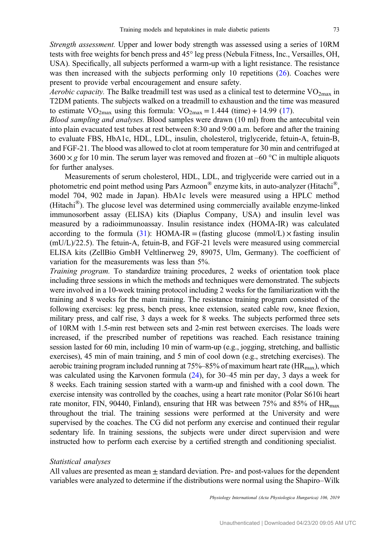Strength assessment. Upper and lower body strength was assessed using a series of 10RM tests with free weights for bench press and 45° leg press (Nebula Fitness, Inc., Versailles, OH, USA). Specifically, all subjects performed a warm-up with a light resistance. The resistance was then increased with the subjects performing only 10 repetitions [\(26](#page-10-0)). Coaches were present to provide verbal encouragement and ensure safety.

*Aerobic capacity*. The Balke treadmill test was used as a clinical test to determine  $VO_{2max}$  in T2DM patients. The subjects walked on a treadmill to exhaustion and the time was measured to estimate  $VO_{2max}$  using this formula:  $VO_{2max} = 1.444$  (time) + 14.99 [\(17](#page-9-0)).

Blood sampling and analyses. Blood samples were drawn (10 ml) from the antecubital vein into plain evacuated test tubes at rest between 8:30 and 9:00 a.m. before and after the training to evaluate FBS, HbA1c, HDL, LDL, insulin, cholesterol, triglyceride, fetuin-A, fetuin-B, and FGF-21. The blood was allowed to clot at room temperature for 30 min and centrifuged at  $3600 \times g$  for 10 min. The serum layer was removed and frozen at –60 °C in multiple aliquots for further analyses.

Measurements of serum cholesterol, HDL, LDL, and triglyceride were carried out in a photometric end point method using Pars Azmoon® enzyme kits, in auto-analyzer (Hitachi®, model 704, 902 made in Japan). HbA1c levels were measured using a HPLC method (Hitachi®). The glucose level was determined using commercially available enzyme-linked immunosorbent assay (ELISA) kits (Diaplus Company, USA) and insulin level was measured by a radioimmunoassay. Insulin resistance index (HOMA-IR) was calculated according to the formula ([31\)](#page-10-0): HOMA-IR = (fasting glucose (mmol/L)  $\times$  fasting insulin (mU/L)/22.5). The fetuin-A, fetuin-B, and FGF-21 levels were measured using commercial ELISA kits (ZellBio GmbH Veltlinerweg 29, 89075, Ulm, Germany). The coefficient of variation for the measurements was less than 5%.

Training program. To standardize training procedures, 2 weeks of orientation took place including three sessions in which the methods and techniques were demonstrated. The subjects were involved in a 10-week training protocol including 2 weeks for the familiarization with the training and 8 weeks for the main training. The resistance training program consisted of the following exercises: leg press, bench press, knee extension, seated cable row, knee flexion, military press, and calf rise, 3 days a week for 8 weeks. The subjects performed three sets of 10RM with 1.5-min rest between sets and 2-min rest between exercises. The loads were increased, if the prescribed number of repetitions was reached. Each resistance training session lasted for 60 min, including 10 min of warm-up (e.g., jogging, stretching, and ballistic exercises), 45 min of main training, and 5 min of cool down (e.g., stretching exercises). The aerobic training program included running at  $75\% - 85\%$  of maximum heart rate (HR<sub>max</sub>), which was calculated using the Karvonen formula [\(24](#page-10-0)), for 30–45 min per day, 3 days a week for 8 weeks. Each training session started with a warm-up and finished with a cool down. The exercise intensity was controlled by the coaches, using a heart rate monitor (Polar S610i heart rate monitor, FIN, 90440, Finland), ensuring that HR was between 75% and 85% of  $HR_{max}$ throughout the trial. The training sessions were performed at the University and were supervised by the coaches. The CG did not perform any exercise and continued their regular sedentary life. In training sessions, the subjects were under direct supervision and were instructed how to perform each exercise by a certified strength and conditioning specialist.

#### Statistical analyses

All values are presented as mean  $\pm$  standard deviation. Pre- and post-values for the dependent variables were analyzed to determine if the distributions were normal using the Shapiro–Wilk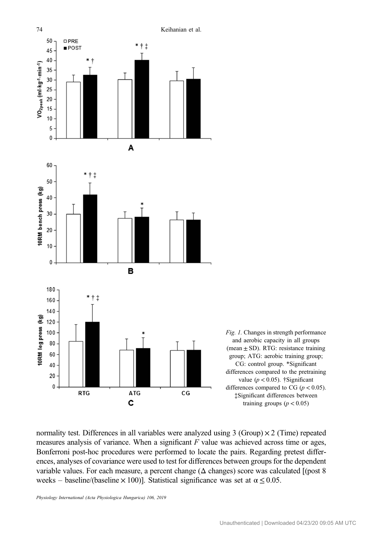<span id="page-4-0"></span>

Fig. 1. Changes in strength performance and aerobic capacity in all groups (mean  $\pm$  SD). RTG: resistance training group; ATG: aerobic training group; CG: control group. \*Significant differences compared to the pretraining value ( $p < 0.05$ ). †Significant differences compared to CG ( $p < 0.05$ ). ‡Significant differences between training groups  $(p < 0.05)$ 

normality test. Differences in all variables were analyzed using  $3$  (Group)  $\times$  2 (Time) repeated measures analysis of variance. When a significant  $F$  value was achieved across time or ages, Bonferroni post-hoc procedures were performed to locate the pairs. Regarding pretest differences, analyses of covariance were used to test for differences between groups for the dependent variable values. For each measure, a percent change ( $\Delta$  changes) score was calculated [(post 8) weeks – baseline/(baseline  $\times$  100)]. Statistical significance was set at  $\alpha$  < 0.05.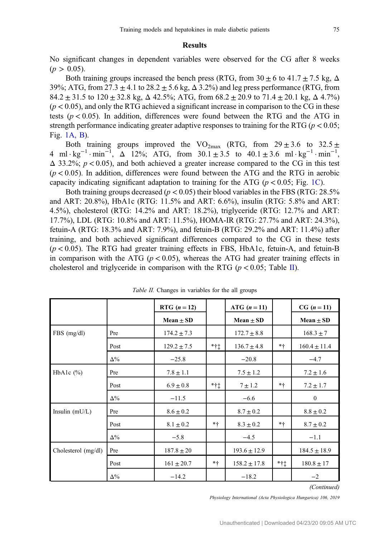#### Results

<span id="page-5-0"></span>No significant changes in dependent variables were observed for the CG after 8 weeks  $(p > 0.05)$ .

Both training groups increased the bench press (RTG, from  $30 \pm 6$  to  $41.7 \pm 7.5$  kg,  $\Delta$ 39%; ATG, from  $27.3 \pm 4.1$  to  $28.2 \pm 5.6$  kg,  $\Delta$  3.2%) and leg press performance (RTG, from 84.2  $\pm$  31.5 to 120  $\pm$  32.8 kg,  $\Delta$  42.5%; ATG, from 68.2  $\pm$  20.9 to 71.4  $\pm$  20.1 kg,  $\Delta$  4.7%)  $(p < 0.05)$ , and only the RTG achieved a significant increase in comparison to the CG in these tests ( $p < 0.05$ ). In addition, differences were found between the RTG and the ATG in strength performance indicating greater adaptive responses to training for the RTG ( $p < 0.05$ ; Fig. [1A, B](#page-4-0)).

Both training groups improved the  $VO_{2max}$  (RTG, from  $29 \pm 3.6$  to  $32.5 \pm$ 4 ml · kg<sup>-1</sup> · min<sup>-1</sup>,  $\Delta$  12%; ATG, from  $30.1 \pm 3.5$  to  $40.1 \pm 3.6$  ml · kg<sup>-1</sup> · min<sup>-1</sup>,  $\Delta$  33.2%;  $p < 0.05$ ), and both achieved a greater increase compared to the CG in this test  $(p < 0.05)$ . In addition, differences were found between the ATG and the RTG in aerobic capacity indicating significant adaptation to training for the ATG ( $p < 0.05$ ; Fig. [1C\)](#page-4-0).

Both training groups decreased ( $p < 0.05$ ) their blood variables in the FBS (RTG: 28.5% and ART: 20.8%), HbA1c (RTG: 11.5% and ART: 6.6%), insulin (RTG: 5.8% and ART: 4.5%), cholesterol (RTG: 14.2% and ART: 18.2%), triglyceride (RTG: 12.7% and ART: 17.7%), LDL (RTG: 10.8% and ART: 11.5%), HOMA-IR (RTG: 27.7% and ART: 24.3%), fetuin-A (RTG: 18.3% and ART: 7.9%), and fetuin-B (RTG: 29.2% and ART: 11.4%) after training, and both achieved significant differences compared to the CG in these tests  $(p < 0.05)$ . The RTG had greater training effects in FBS, HbA1c, fetuin-A, and fetuin-B in comparison with the ATG ( $p < 0.05$ ), whereas the ATG had greater training effects in cholesterol and triglyceride in comparison with the RTG ( $p < 0.05$ ; Table II).

|                     |            | RTG $(n = 12)$  |                  | ATG $(n = 11)$   |      | $CG (n = 11)$    |
|---------------------|------------|-----------------|------------------|------------------|------|------------------|
|                     |            | Mean $\pm$ SD   |                  | Mean $\pm$ SD    |      | Mean $\pm$ SD    |
| $FBS$ (mg/dl)       | Pre        | $174.2 \pm 7.3$ |                  | $172.7 \pm 8.8$  |      | $168.3 \pm 7$    |
|                     | Post       | $129.2 \pm 7.5$ | $*$ † $\ddagger$ | $136.7 \pm 4.8$  | $*+$ | $160.4 \pm 11.4$ |
|                     | $\Delta\%$ | $-25.8$         |                  | $-20.8$          |      | $-4.7$           |
| HbA1c $(\%)$        | Pre        | $7.8 \pm 1.1$   |                  | $7.5 \pm 1.2$    |      | $7.2 \pm 1.6$    |
|                     | Post       | $6.9 \pm 0.8$   | $*$ † $\ddagger$ | $7 \pm 1.2$      | $*+$ | $7.2 \pm 1.7$    |
|                     | $\Delta\%$ | $-11.5$         |                  | $-6.6$           |      | $\bf{0}$         |
| Insulin $(mU/L)$    | Pre        | $8.6 \pm 0.2$   |                  | $8.7 \pm 0.2$    |      | $8.8 \pm 0.2$    |
|                     | Post       | $8.1 \pm 0.2$   | $* +$            | $8.3 \pm 0.2$    | $*+$ | $8.7 \pm 0.2$    |
|                     | $\Delta\%$ | $-5.8$          |                  | $-4.5$           |      | $-1.1$           |
| Cholesterol (mg/dl) | Pre        | $187.8 \pm 20$  |                  | $193.6 \pm 12.9$ |      | $184.5 \pm 18.9$ |
|                     | Post       | $161 \pm 20.7$  | $* +$            | $158.2 \pm 17.8$ | *†‡  | $180.8 \pm 17$   |
|                     | $\Delta\%$ | $-14.2$         |                  | $-18.2$          |      | $-2$             |
|                     |            |                 |                  |                  |      | (Continued)      |

Table II. Changes in variables for the all groups

(Continued)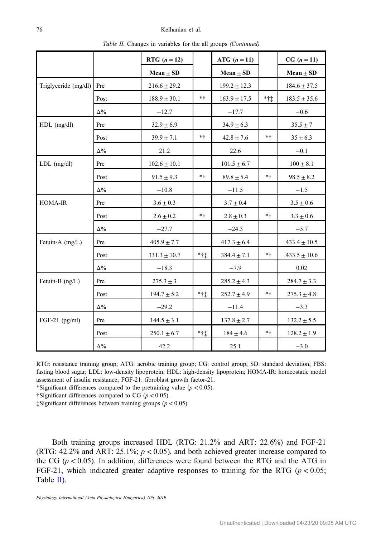| Tuble 11. Changes in variables for the an groups (Commuta) |            |                  |        |                  |        |                  |  |  |  |
|------------------------------------------------------------|------------|------------------|--------|------------------|--------|------------------|--|--|--|
|                                                            |            | RTG $(n = 12)$   |        | ATG $(n = 11)$   |        | $CG (n = 11)$    |  |  |  |
|                                                            |            | Mean $\pm$ SD    |        | Mean $\pm$ SD    |        | Mean $\pm$ SD    |  |  |  |
| Triglyceride $(mg/dl)$ Pre                                 |            | $216.6 \pm 29.2$ |        | $199.2 \pm 12.3$ |        | $184.6 \pm 37.5$ |  |  |  |
|                                                            | Post       | $188.9 \pm 30.1$ | $*+$   | $163.9 \pm 17.5$ | $*$ †‡ | $183.5 \pm 35.6$ |  |  |  |
|                                                            | $\Delta\%$ | $-12.7$          |        | $-17.7$          |        | $-0.6$           |  |  |  |
| $HDL$ (mg/dl)                                              | Pre        | $32.9 \pm 6.9$   |        | $34.9 \pm 6.3$   |        | $35.5 \pm 7$     |  |  |  |
|                                                            | Post       | $39.9 \pm 7.1$   | $*+$   | $42.8\pm7.6$     | $*+$   | $35 \pm 6.3$     |  |  |  |
|                                                            | $\Delta\%$ | 21.2             |        | 22.6             |        | $-0.1$           |  |  |  |
| $LDL$ (mg/dl)                                              | Pre        | $102.6 \pm 10.1$ |        | $101.5 \pm 6.7$  |        | $100 \pm 8.1$    |  |  |  |
|                                                            | Post       | $91.5 \pm 9.3$   | $*+$   | $89.8 \pm 5.4$   | $*$ †  | $98.5 \pm 8.2$   |  |  |  |
|                                                            | $\Delta\%$ | $-10.8$          |        | $-11.5$          |        | $-1.5$           |  |  |  |
| HOMA-IR                                                    | Pre        | $3.6\pm0.3$      |        | $3.7 \pm 0.4$    |        | $3.5\pm0.6$      |  |  |  |
|                                                            | Post       | $2.6 \pm 0.2$    | $*+$   | $2.8 \pm 0.3$    | $*+$   | $3.3 \pm 0.6$    |  |  |  |
|                                                            | $\Delta\%$ | $-27.7$          |        | $-24.3$          |        | $-5.7$           |  |  |  |
| Fetuin-A $(mg/L)$                                          | Pre        | $405.9 \pm 7.7$  |        | $417.3 \pm 6.4$  |        | $433.4 \pm 10.5$ |  |  |  |
|                                                            | Post       | $331.3 \pm 10.7$ | $*$ †‡ | $384.4 \pm 7.1$  | $*+$   | $433.5 \pm 10.6$ |  |  |  |
|                                                            | $\Delta\%$ | $-18.3$          |        | $-7.9$           |        | 0.02             |  |  |  |
| Fetuin-B $(ng/L)$                                          | Pre        | $275.3 \pm 3$    |        | $285.2 \pm 4.3$  |        | $284.7 \pm 3.3$  |  |  |  |
|                                                            | Post       | $194.7 \pm 5.2$  | $*$ †‡ | $252.7 \pm 4.9$  | $*+$   | $275.3 \pm 4.8$  |  |  |  |
|                                                            | $\Delta\%$ | $-29.2$          |        | $-11.4$          |        | $-3.3$           |  |  |  |
| FGF-21 (pg/ml)                                             | Pre        | $144.5 \pm 3.1$  |        | $137.8 \pm 2.7$  |        | $132.2 \pm 5.5$  |  |  |  |
|                                                            | Post       | $250.1\pm6.7$    | $*$ †‡ | $184\pm4.6$      | $*$ †  | $128.2 \pm 1.9$  |  |  |  |
|                                                            | $\Delta\%$ | 42.2             |        | 25.1             |        | $-3.0$           |  |  |  |

Table II. Changes in variables for the all groups *(Continued)* 

RTG: resistance training group; ATG: aerobic training group; CG: control group; SD: standard deviation; FBS: fasting blood sugar; LDL: low-density lipoprotein; HDL: high-density lipoprotein; HOMA-IR: homeostatic model assessment of insulin resistance; FGF-21: fibroblast growth factor-21.

\*Significant differences compared to the pretraining value ( $p < 0.05$ ).

†Significant differences compared to CG ( $p < 0.05$ ).

 $\ddagger$ Significant differences between training groups ( $p < 0.05$ )

Both training groups increased HDL (RTG: 21.2% and ART: 22.6%) and FGF-21 (RTG: 42.2% and ART: 25.1%; p < 0.05), and both achieved greater increase compared to the CG ( $p < 0.05$ ). In addition, differences were found between the RTG and the ATG in FGF-21, which indicated greater adaptive responses to training for the RTG ( $p < 0.05$ ; Table [II](#page-5-0)).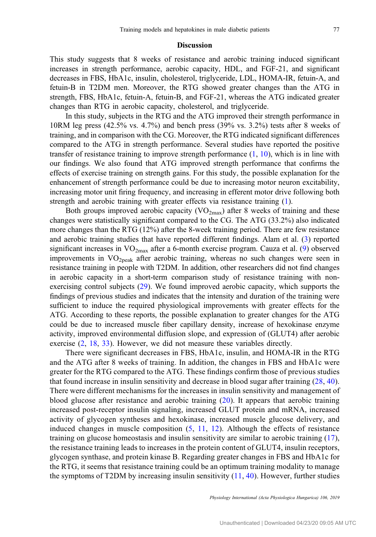## Discussion

This study suggests that 8 weeks of resistance and aerobic training induced significant increases in strength performance, aerobic capacity, HDL, and FGF-21, and significant decreases in FBS, HbA1c, insulin, cholesterol, triglyceride, LDL, HOMA-IR, fetuin-A, and fetuin-B in T2DM men. Moreover, the RTG showed greater changes than the ATG in strength, FBS, HbA1c, fetuin-A, fetuin-B, and FGF-21, whereas the ATG indicated greater changes than RTG in aerobic capacity, cholesterol, and triglyceride.

In this study, subjects in the RTG and the ATG improved their strength performance in 10RM leg press (42.5% vs. 4.7%) and bench press (39% vs. 3.2%) tests after 8 weeks of training, and in comparison with the CG. Moreover, the RTG indicated significant differences compared to the ATG in strength performance. Several studies have reported the positive transfer of resistance training to improve strength performance [\(1](#page-9-0), [10](#page-9-0)), which is in line with our findings. We also found that ATG improved strength performance that confirms the effects of exercise training on strength gains. For this study, the possible explanation for the enhancement of strength performance could be due to increasing motor neuron excitability, increasing motor unit firing frequency, and increasing in efferent motor drive following both strength and aerobic training with greater effects via resistance training [\(1](#page-9-0)).

Both groups improved aerobic capacity  $(VO_{2max})$  after 8 weeks of training and these changes were statistically significant compared to the CG. The ATG (33.2%) also indicated more changes than the RTG (12%) after the 8-week training period. There are few resistance and aerobic training studies that have reported different findings. Alam et al. [\(3](#page-9-0)) reported significant increases in  $VO<sub>2max</sub>$  after a 6-month exercise program. Cauza et al. [\(9](#page-9-0)) observed improvements in  $VO<sub>2neak</sub>$  after aerobic training, whereas no such changes were seen in resistance training in people with T2DM. In addition, other researchers did not find changes in aerobic capacity in a short-term comparison study of resistance training with nonexercising control subjects [\(29](#page-10-0)). We found improved aerobic capacity, which supports the findings of previous studies and indicates that the intensity and duration of the training were sufficient to induce the required physiological improvements with greater effects for the ATG. According to these reports, the possible explanation to greater changes for the ATG could be due to increased muscle fiber capillary density, increase of hexokinase enzyme activity, improved environmental diffusion slope, and expression of (GLUT4) after aerobic exercise [\(2](#page-9-0), [18](#page-9-0), [33](#page-10-0)). However, we did not measure these variables directly.

There were significant decreases in FBS, HbA1c, insulin, and HOMA-IR in the RTG and the ATG after 8 weeks of training. In addition, the changes in FBS and HbA1c were greater for the RTG compared to the ATG. These findings confirm those of previous studies that found increase in insulin sensitivity and decrease in blood sugar after training ([28](#page-10-0), [40](#page-10-0)). There were different mechanisms for the increases in insulin sensitivity and management of blood glucose after resistance and aerobic training [\(20\)](#page-9-0). It appears that aerobic training increased post-receptor insulin signaling, increased GLUT protein and mRNA, increased activity of glycogen syntheses and hexokinase, increased muscle glucose delivery, and induced changes in muscle composition ([5,](#page-9-0) [11,](#page-9-0) [12\)](#page-9-0). Although the effects of resistance training on glucose homeostasis and insulin sensitivity are similar to aerobic training ([17](#page-9-0)), the resistance training leads to increases in the protein content of GLUT4, insulin receptors, glycogen synthase, and protein kinase B. Regarding greater changes in FBS and HbA1c for the RTG, it seems that resistance training could be an optimum training modality to manage the symptoms of T2DM by increasing insulin sensitivity  $(11, 40)$  $(11, 40)$  $(11, 40)$ . However, further studies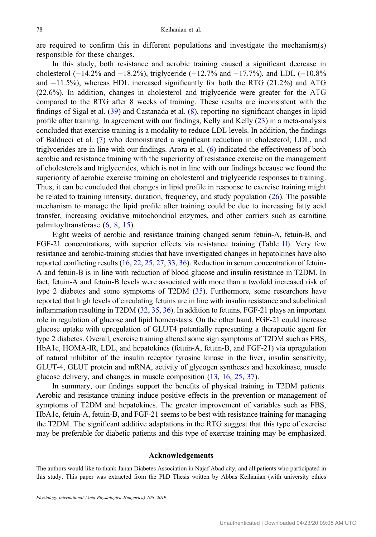are required to confirm this in different populations and investigate the mechanism(s) responsible for these changes.

In this study, both resistance and aerobic training caused a significant decrease in cholesterol ( $-14.2\%$  and  $-18.2\%$ ), triglyceride ( $-12.7\%$  and  $-17.7\%$ ), and LDL ( $-10.8\%$ and −11.5%), whereas HDL increased significantly for both the RTG (21.2%) and ATG (22.6%). In addition, changes in cholesterol and triglyceride were greater for the ATG compared to the RTG after 8 weeks of training. These results are inconsistent with the findings of Sigal et al. ([39\)](#page-10-0) and Castanada et al. [\(8](#page-9-0)), reporting no significant changes in lipid profile after training. In agreement with our findings, Kelly and Kelly [\(23](#page-10-0)) in a meta-analysis concluded that exercise training is a modality to reduce LDL levels. In addition, the findings of Balducci et al. [\(7](#page-9-0)) who demonstrated a significant reduction in cholesterol, LDL, and triglycerides are in line with our findings. Arora et al. [\(6](#page-9-0)) indicated the effectiveness of both aerobic and resistance training with the superiority of resistance exercise on the management of cholesterols and triglycerides, which is not in line with our findings because we found the superiority of aerobic exercise training on cholesterol and triglyceride responses to training. Thus, it can be concluded that changes in lipid profile in response to exercise training might be related to training intensity, duration, frequency, and study population  $(26)$  $(26)$ . The possible mechanism to manage the lipid profile after training could be due to increasing fatty acid transfer, increasing oxidative mitochondrial enzymes, and other carriers such as carnitine palmitoyltransferase [\(6](#page-9-0), [8](#page-9-0), [15](#page-9-0)).

Eight weeks of aerobic and resistance training changed serum fetuin-A, fetuin-B, and FGF-21 concentrations, with superior effects via resistance training (Table [II\)](#page-5-0). Very few resistance and aerobic-training studies that have investigated changes in hepatokines have also reported conflicting results [\(16](#page-9-0), [22,](#page-10-0) [25](#page-10-0), [27,](#page-10-0) [33](#page-10-0), [36\)](#page-10-0). Reduction in serum concentration of fetuin-A and fetuin-B is in line with reduction of blood glucose and insulin resistance in T2DM. In fact, fetuin-A and fetuin-B levels were associated with more than a twofold increased risk of type 2 diabetes and some symptoms of T2DM [\(35\)](#page-10-0). Furthermore, some researchers have reported that high levels of circulating fetuins are in line with insulin resistance and subclinical inflammation resulting in T2DM ([32](#page-10-0), [35,](#page-10-0) [36](#page-10-0)). In addition to fetuins, FGF-21 plays an important role in regulation of glucose and lipid homeostasis. On the other hand, FGF-21 could increase glucose uptake with upregulation of GLUT4 potentially representing a therapeutic agent for type 2 diabetes. Overall, exercise training altered some sign symptoms of T2DM such as FBS, HbA1c, HOMA-IR, LDL, and hepatokines (fetuin-A, fetuin-B, and FGF-21) via upregulation of natural inhibitor of the insulin receptor tyrosine kinase in the liver, insulin sensitivity, GLUT-4, GLUT protein and mRNA, activity of glycogen syntheses and hexokinase, muscle glucose delivery, and changes in muscle composition ([13](#page-9-0), [16](#page-9-0), [25,](#page-10-0) [37\)](#page-10-0).

In summary, our findings support the benefits of physical training in T2DM patients. Aerobic and resistance training induce positive effects in the prevention or management of symptoms of T2DM and hepatokines. The greater improvement of variables such as FBS, HbA1c, fetuin-A, fetuin-B, and FGF-21 seems to be best with resistance training for managing the T2DM. The significant additive adaptations in the RTG suggest that this type of exercise may be preferable for diabetic patients and this type of exercise training may be emphasized.

#### Acknowledgements

The authors would like to thank Janan Diabetes Association in Najaf Abad city, and all patients who participated in this study. This paper was extracted from the PhD Thesis written by Abbas Keihanian (with university ethics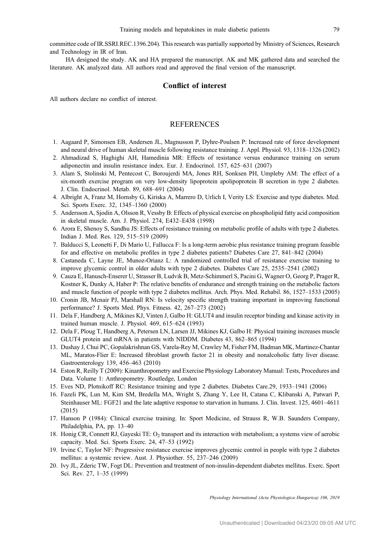<span id="page-9-0"></span>committee code of IR.SSRI.REC.1396.204). This research was partially supported by Ministry of Sciences, Research and Technology in IR of Iran.

HA designed the study. AK and HA prepared the manuscript. AK and MK gathered data and searched the literature. AK analyzed data. All authors read and approved the final version of the manuscript.

#### Conflict of interest

All authors declare no conflict of interest.

#### **REFERENCES**

- 1. Aagaard P, Simonsen EB, Andersen JL, Magnusson P, Dyhre-Poulsen P: Increased rate of force development and neural drive of human skeletal muscle following resistance training. J. Appl. Physiol. 93, 1318–1326 (2002)
- 2. Ahmadizad S, Haghighi AH, Hamedinia MR: Effects of resistance versus endurance training on serum adiponectin and insulin resistance index. Eur. J. Endocrinol. 157, 625–631 (2007)
- 3. Alam S, Stolinski M, Pentecost C, Boroujerdi MA, Jones RH, Sonksen PH, Umpleby AM: The effect of a six-month exercise program on very low-density lipoprotein apolipoprotein B secretion in type 2 diabetes. J. Clin. Endocrinol. Metab. 89, 688–691 (2004)
- 4. Albright A, Franz M, Hornsby G, Kiriska A, Marrero D, Urlich I, Verity LS: Exercise and type diabetes. Med. Sci. Sports Exerc. 32, 1345–1360 (2000)
- 5. Andersson A, Sjodin A, Olsson R, Vessby B: Effects of physical exercise on phospholipid fatty acid composition in skeletal muscle. Am. J. Physiol. 274, E432–E438 (1998)
- 6. Arora E, Shenoy S, Sandhu JS: Effects of resistance training on metabolic profile of adults with type 2 diabetes. Indian J. Med. Res. 129, 515–519 (2009)
- 7. Balducci S, Leonetti F, Di Mario U, Fallucca F: Is a long-term aerobic plus resistance training program feasible for and effective on metabolic profiles in type 2 diabetes patients? Diabetes Care 27, 841–842 (2004)
- 8. Castaneda C, Layne JE, Munoz-Orianz L: A randomized controlled trial of resistance exercise training to improve glycemic control in older adults with type 2 diabetes. Diabetes Care 25, 2535–2541 (2002)
- 9. Cauza E, Hanusch-Enserer U, Strasser B, Ludvik B, Metz-Schimmerl S, Pacini G, Wagner O, Georg P, Prager R, Kostner K, Dunky A, Haber P: The relative benefits of endurance and strength training on the metabolic factors and muscle function of people with type 2 diabetes mellitus. Arch. Phys. Med. Rehabil. 86, 1527–1533 (2005)
- 10. Cronin JB, Mcnair PJ, Marshall RN: Is velocity specific strength training important in improving functional performance? J. Sports Med. Phys. Fitness. 42, 267–273 (2002)
- 11. Dela F, Handberg A, Mikines KJ, Vinten J, Galbo H: GLUT4 and insulin receptor binding and kinase activity in trained human muscle. J. Physiol. 469, 615–624 (1993)
- 12. Dela F, Ploug T, Handberg A, Petersen LN, Larsen JJ, Mikines KJ, Galbo H: Physical training increases muscle GLUT4 protein and mRNA in patients with NIDDM. Diabetes 43, 862–865 (1994)
- 13. Dushay J, Chui PC, Gopalakrishnan GS, Varela-Rey M, Crawley M, Fisher FM, Badman MK, Martinez-Chantar ML, Maratos-Flier E: Increased fibroblast growth factor 21 in obesity and nonalcoholic fatty liver disease. Gastroenterology 139, 456–463 (2010)
- 14. Eston R, Reilly T (2009): Kinanthropometry and Exercise Physiology Laboratory Manual: Tests, Procedures and Data. Volume 1: Anthropometry. Routledge, London
- 15. Eves ND, Plotnikoff RC: Resistance training and type 2 diabetes. Diabetes Care.29, 1933–1941 (2006)
- 16. Fazeli PK, Lun M, Kim SM, Bredella MA, Wright S, Zhang Y, Lee H, Catana C, Klibanski A, Patwari P, Steinhauser ML: FGF21 and the late adaptive response to starvation in humans. J. Clin. Invest. 125, 4601–4611 (2015)
- 17. Hanson P (1984): Clinical exercise training. In: Sport Medicine, ed Strauss R, W.B. Saunders Company, Philadelphia, PA, pp. 13–40
- 18. Honig CR, Connett RJ, Gayeski TE:  $O_2$  transport and its interaction with metabolism; a systems view of aerobic capacity. Med. Sci. Sports Exerc. 24, 47–53 (1992)
- 19. Irvine C, Taylor NF: Progressive resistance exercise improves glycemic control in people with type 2 diabetes mellitus: a systemic review. Aust. J. Physiother. 55, 237–246 (2009)
- 20. Ivy JL, Zderic TW, Fogt DL: Prevention and treatment of non-insulin-dependent diabetes mellitus. Exerc. Sport Sci. Rev. 27, 1–35 (1999)